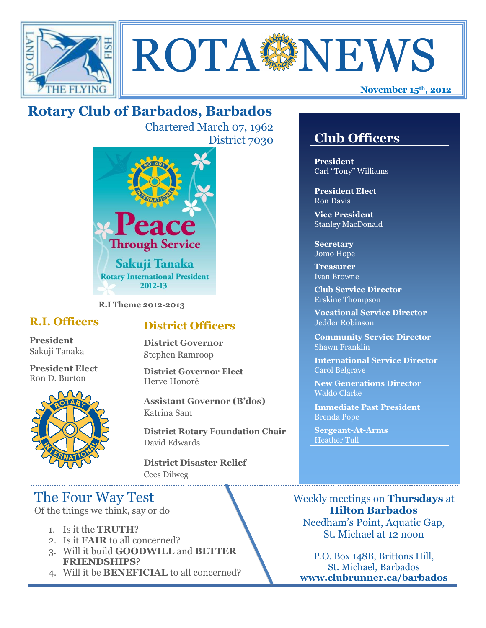



# **Rotary Club of Barbados, Barbados**

Chartered March 07, 1962 District 7030



**R.I Theme 2012-2013**

## **R.I. Officers**

**President**  Sakuji Tanaka

**President Elect** Ron D. Burton



## **District Officers**

**District Governor** Stephen Ramroop

**District Governor Elect** Herve Honoré

**Assistant Governor (B'dos)** Katrina Sam

**District Rotary Foundation Chair** David Edwards

**District Disaster Relief** Cees Dilweg

# The Four Way Test

Of the things we think, say or do

- 1. Is it the **TRUTH**?
- 2. Is it **FAIR** to all concerned?
- 3. Will it build **GOODWILL** and **BETTER FRIENDSHIPS**?
- 4. Will it be **BENEFICIAL** to all concerned?

# **Club Officers**

**Club Officers** 

**President** Carl "Tony" Williams

**President Elect** Ron Davis

**Vice President** Stanley MacDonald

**Secretary** Jomo Hope

**Treasurer** Ivan Browne

**Club Service Director** Erskine Thompson

**Vocational Service Director** Jedder Robinson

**Community Service Director** Shawn Franklin

**International Service Director** Carol Belgrave

**New Generations Director** Waldo Clarke

**Immediate Past President** Brenda Pope

**Sergeant-At-Arms** Heather Tull

Weekly meetings on **Thursdays** at **Hilton Barbados** Needham's Point, Aquatic Gap, St. Michael at 12 noon

P.O. Box 148B, Brittons Hill, St. Michael, Barbados **www.clubrunner.ca/barbados**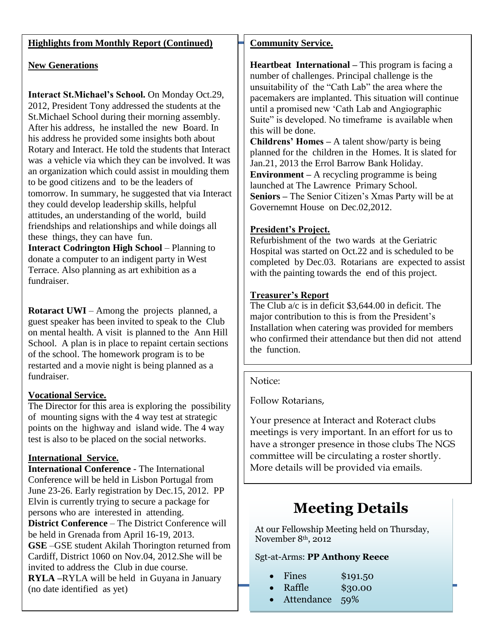#### **Highlights from Monthly Report (Continued)**

#### **New Generations**

**Interact St.Michael's School.** On Monday Oct.29, 2012, President Tony addressed the students at the St.Michael School during their morning assembly. After his address, he installed the new Board. In his address he provided some insights both about Rotary and Interact. He told the students that Interact was a vehicle via which they can be involved. It was an organization which could assist in moulding them to be good citizens and to be the leaders of tomorrow. In summary, he suggested that via Interact they could develop leadership skills, helpful attitudes, an understanding of the world, build friendships and relationships and while doings all these things, they can have fun.

**Interact Codrington High School** – Planning to donate a computer to an indigent party in West Terrace. Also planning as art exhibition as a fundraiser.

**Rotaract UWI** – Among the projects planned, a guest speaker has been invited to speak to the Club on mental health. A visit is planned to the Ann Hill School. A plan is in place to repaint certain sections of the school. The homework program is to be restarted and a movie night is being planned as a fundraiser.

#### **Vocational Service.**

The Director for this area is exploring the possibility of mounting signs with the 4 way test at strategic points on the highway and island wide. The 4 way test is also to be placed on the social networks.

#### **International Service.**

**International Conference** - The International Conference will be held in Lisbon Portugal from June 23-26. Early registration by Dec.15, 2012. PP Elvin is currently trying to secure a package for persons who are interested in attending. **District Conference** – The District Conference will be held in Grenada from April 16-19, 2013. **GSE** –GSE student Akilah Thorington returned from Cardiff, District 1060 on Nov.04, 2012.She will be invited to address the Club in due course. **RYLA –**RYLA will be held in Guyana in January (no date identified as yet)

#### **Community Service.**

**Heartbeat International –** This program is facing a number of challenges. Principal challenge is the unsuitability of the "Cath Lab" the area where the pacemakers are implanted. This situation will continue until a promised new "Cath Lab and Angiographic Suite" is developed. No timeframe is available when this will be done.

**Childrens' Homes –** A talent show/party is being planned for the children in the Homes. It is slated for Jan.21, 2013 the Errol Barrow Bank Holiday. **Environment –** A recycling programme is being launched at The Lawrence Primary School. **Seniors –** The Senior Citizen"s Xmas Party will be at Governemnt House on Dec.02,2012.

#### **President's Project.**

Refurbishment of the two wards at the Geriatric Hospital was started on Oct.22 and is scheduled to be completed by Dec.03. Rotarians are expected to assist with the painting towards the end of this project.

#### **Treasurer's Report**

The Club a/c is in deficit \$3,644.00 in deficit. The major contribution to this is from the President's Installation when catering was provided for members who confirmed their attendance but then did not attend the function.

#### Notice:

Follow Rotarians,

Your presence at Interact and Roteract clubs meetings is very important. In an effort for us to have a stronger presence in those clubs The NGS committee will be circulating a roster shortly. More details will be provided via emails.

# **Meeting Details**

At our Fellowship Meeting held on Thursday, November 8th, 2012

#### Sgt-at-Arms: **PP Anthony Reece**

|  | Fines | \$191.50 |
|--|-------|----------|
|--|-------|----------|

- Raffle \$30.00
- Attendance 59%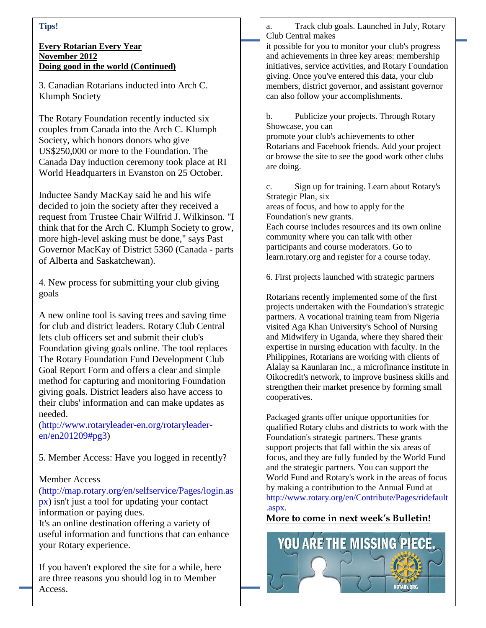#### **Tips!**

#### **Every Rotarian Every Year November 2012 Doing good in the world (Continued)**

3. Canadian Rotarians inducted into Arch C. Klumph Society

The Rotary Foundation recently inducted six couples from Canada into the Arch C. Klumph Society, which honors donors who give US\$250,000 or more to the Foundation. The Canada Day induction ceremony took place at RI World Headquarters in Evanston on 25 October.

Inductee Sandy MacKay said he and his wife decided to join the society after they received a request from Trustee Chair Wilfrid J. Wilkinson. "I think that for the Arch C. Klumph Society to grow, more high-level asking must be done," says Past Governor MacKay of District 5360 (Canada - parts of Alberta and Saskatchewan).

4. New process for submitting your club giving goals

A new online tool is saving trees and saving time for club and district leaders. Rotary Club Central lets club officers set and submit their club's Foundation giving goals online. The tool replaces The Rotary Foundation Fund Development Club Goal Report Form and offers a clear and simple method for capturing and monitoring Foundation giving goals. District leaders also have access to their clubs' information and can make updates as needed.

[\(http://www.rotaryleader-en.org/rotaryleader](http://www.rotaryleader-en.org/rotaryleader-en/en201209#pg3)[en/en201209#pg3\)](http://www.rotaryleader-en.org/rotaryleader-en/en201209#pg3)

5. Member Access: Have you logged in recently?

#### Member Access

[\(http://map.rotary.org/en/selfservice/Pages/login.as](http://map.rotary.org/en/selfservice/Pages/login.aspx) [px\)](http://map.rotary.org/en/selfservice/Pages/login.aspx) isn't just a tool for updating your contact information or paying dues.

It's an online destination offering a variety of useful information and functions that can enhance your Rotary experience.

If you haven't explored the site for a while, here are three reasons you should log in to Member Access.

a. Track club goals. Launched in July, Rotary Club Central makes

it possible for you to monitor your club's progress and achievements in three key areas: membership initiatives, service activities, and Rotary Foundation giving. Once you've entered this data, your club members, district governor, and assistant governor can also follow your accomplishments.

b. Publicize your projects. Through Rotary Showcase, you can promote your club's achievements to other Rotarians and Facebook friends. Add your project or browse the site to see the good work other clubs are doing.

c. Sign up for training. Learn about Rotary's Strategic Plan, six

areas of focus, and how to apply for the Foundation's new grants.

Each course includes resources and its own online community where you can talk with other participants and course moderators. Go to learn.rotary.org and register for a course today.

6. First projects launched with strategic partners

Rotarians recently implemented some of the first projects undertaken with the Foundation's strategic partners. A vocational training team from Nigeria visited Aga Khan University's School of Nursing and Midwifery in Uganda, where they shared their expertise in nursing education with faculty. In the Philippines, Rotarians are working with clients of Alalay sa Kaunlaran Inc., a microfinance institute in Oikocredit's network, to improve business skills and strengthen their market presence by forming small cooperatives.

Packaged grants offer unique opportunities for qualified Rotary clubs and districts to work with the Foundation's strategic partners. These grants support projects that fall within the six areas of focus, and they are fully funded by the World Fund and the strategic partners. You can support the World Fund and Rotary's work in the areas of focus by making a contribution to the Annual Fund at [http://www.rotary.org/en/Contribute/Pages/ridefault](http://www.rotary.org/en/Contribute/Pages/ridefault.aspx) [.aspx.](http://www.rotary.org/en/Contribute/Pages/ridefault.aspx)

### **More to come in next week's Bulletin!**